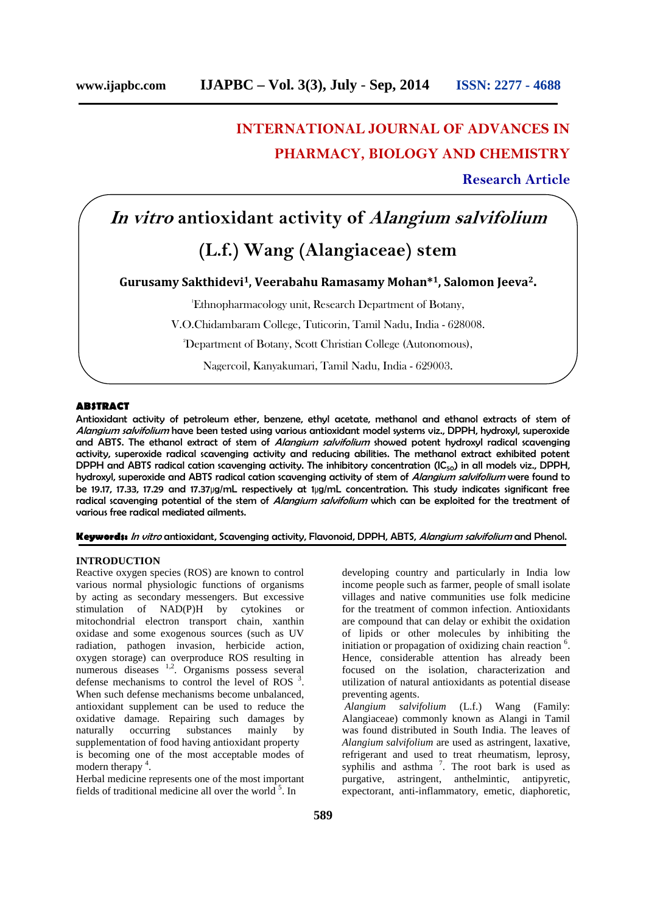## **INTERNATIONAL JOURNAL OF ADVANCES IN PHARMACY, BIOLOGY AND CHEMISTRY**

## **Research Article**

# *In vitro* **antioxidant activity of** *Alangium salvifolium* **(L.f.) Wang (Alangiaceae) stem**

**Gurusamy Sakthidevi1, Veerabahu Ramasamy Mohan\*1, Salomon Jeeva2.**

<sup>1</sup>Ethnopharmacology unit, Research Department of Botany,

V.O.Chidambaram College, Tuticorin, Tamil Nadu, India - 628008.

<sup>2</sup>Department of Botany, Scott Christian College (Autonomous),

Nagercoil, Kanyakumari, Tamil Nadu, India - 629003.

## **ABSTRACT**

Antioxidant activity of petroleum ether, benzene, ethyl acetate, methanol and ethanol extracts of stem of *Alangium salvifolium* have been tested using various antioxidant model systems viz., DPPH, hydroxyl, superoxide and ABTS. The ethanol extract of stem of *Alangium salvifolium* showed potent hydroxyl radical scavenging activity, superoxide radical scavenging activity and reducing abilities. The methanol extract exhibited potent DPPH and ABTS radical cation scavenging activity. The inhibitory concentration (IC<sub>50</sub>) in all models viz., DPPH, hydroxyl, superoxide and ABTS radical cation scavenging activity of stem of *Alangium salvifolium* were found to be 19.17, 17.33, 17.29 and 17.37µg/mL respectively at 1µg/mL concentration. This study indicates significant free radical scavenging potential of the stem of *Alangium salvifolium* which can be exploited for the treatment of various free radical mediated ailments.

**Keywords:** *In vitro* antioxidant, Scavenging activity, Flavonoid, DPPH, ABTS, *Alangium salvifolium* and Phenol.

#### **INTRODUCTION**

Reactive oxygen species (ROS) are known to control various normal physiologic functions of organisms by acting as secondary messengers. But excessive stimulation of NAD(P)H by cytokines or mitochondrial electron transport chain, xanthin oxidase and some exogenous sources (such as UV radiation, pathogen invasion, herbicide action, oxygen storage) can overproduce ROS resulting in numerous diseases <sup>1,2</sup>. Organisms possess several defense mechanisms to control the level of ROS<sup>3</sup>. . When such defense mechanisms become unbalanced, antioxidant supplement can be used to reduce the oxidative damage. Repairing such damages by naturally occurring substances mainly by supplementation of food having antioxidant property is becoming one of the most acceptable modes of modern therapy <sup>4</sup>.

Herbal medicine represents one of the most important fields of traditional medicine all over the world  $<sup>5</sup>$ . In</sup>

developing country and particularly in India low income people such as farmer, people of small isolate villages and native communities use folk medicine for the treatment of common infection. Antioxidants are compound that can delay or exhibit the oxidation of lipids or other molecules by inhibiting the initiation or propagation of oxidizing chain reaction <sup>6</sup>. Hence, considerable attention has already been focused on the isolation, characterization and utilization of natural antioxidants as potential disease preventing agents.

*Alangium salvifolium* (L.f.) Wang (Family: Alangiaceae) commonly known as Alangi in Tamil was found distributed in South India. The leaves of *Alangium salvifolium* are used as astringent, laxative, refrigerant and used to treat rheumatism, leprosy, syphilis and asthma<sup>7</sup>. The root bark is used as purgative, astringent, anthelmintic, antipyretic, expectorant, anti-inflammatory, emetic, diaphoretic,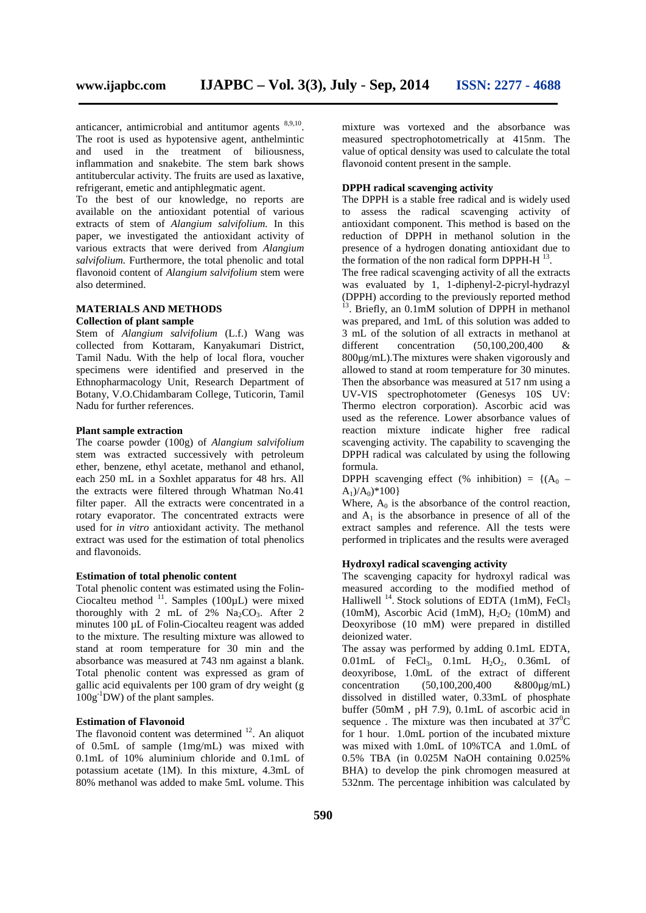anticancer, antimicrobial and antitumor agents <sup>8,9,10</sup>. The root is used as hypotensive agent, anthelmintic and used in the treatment of biliousness, inflammation and snakebite. The stem bark shows antitubercular activity. The fruits are used as laxative, refrigerant, emetic and antiphlegmatic agent.

To the best of our knowledge, no reports are available on the antioxidant potential of various extracts of stem of *Alangium salvifolium.* In this paper, we investigated the antioxidant activity of various extracts that were derived from *Alangium salvifolium.* Furthermore, the total phenolic and total flavonoid content of *Alangium salvifolium* stem were also determined.

## **MATERIALS AND METHODS**

#### **Collection of plant sample**

Stem of *Alangium salvifolium* (L.f.) Wang was collected from Kottaram, Kanyakumari District, Tamil Nadu. With the help of local flora, voucher specimens were identified and preserved in the Ethnopharmacology Unit, Research Department of Botany, V.O.Chidambaram College, Tuticorin, Tamil Nadu for further references.

#### **Plant sample extraction**

The coarse powder (100g) of *Alangium salvifolium* stem was extracted successively with petroleum ether, benzene, ethyl acetate, methanol and ethanol, each 250 mL in a Soxhlet apparatus for 48 hrs. All the extracts were filtered through Whatman No.41 filter paper. All the extracts were concentrated in a rotary evaporator. The concentrated extracts were used for *in vitro* antioxidant activity. The methanol extract was used for the estimation of total phenolics and flavonoids.

#### **Estimation of total phenolic content**

Total phenolic content was estimated using the Folin- Ciocalteu method  $^{11}$ . Samples (100 $\mu$ L) were mixed thoroughly with 2 mL of 2%  $Na<sub>2</sub>CO<sub>3</sub>$ . After 2 minutes 100 µL of Folin-Ciocalteu reagent was added to the mixture. The resulting mixture was allowed to stand at room temperature for 30 min and the absorbance was measured at 743 nm against a blank. Total phenolic content was expressed as gram of gallic acid equivalents per 100 gram of dry weight (g  $100g^{-1}DW$  of the plant samples.

## **Estimation of Flavonoid**

The flavonoid content was determined  $12$ . An aliquot of 0.5mL of sample (1mg/mL) was mixed with 0.1mL of 10% aluminium chloride and 0.1mL of potassium acetate (1M). In this mixture, 4.3mL of 80% methanol was added to make 5mL volume. This mixture was vortexed and the absorbance was measured spectrophotometrically at 415nm. The value of optical density was used to calculate the total flavonoid content present in the sample.

#### **DPPH radical scavenging activity**

The DPPH is a stable free radical and is widely used to assess the radical scavenging activity of antioxidant component. This method is based on the reduction of DPPH in methanol solution in the presence of a hydrogen donating antioxidant due to the formation of the non radical form  $DPPH-H$ <sup>13</sup>.

The free radical scavenging activity of all the extracts was evaluated by 1, 1-diphenyl-2-picryl-hydrazyl (DPPH) according to the previously reported method <sup>13</sup>. Briefly, an 0.1mM solution of DPPH in methanol was prepared, and 1mL of this solution was added to 3 mL of the solution of all extracts in methanol at different concentration (50,100,200,400 & 800μg/mL).The mixtures were shaken vigorously and allowed to stand at room temperature for 30 minutes. Then the absorbance was measured at 517 nm using a UV-VIS spectrophotometer (Genesys 10S UV: Thermo electron corporation). Ascorbic acid was used as the reference. Lower absorbance values of reaction mixture indicate higher free radical scavenging activity. The capability to scavenging the DPPH radical was calculated by using the following formula.

DPPH scavenging effect (% inhibition) =  $\{(A_0 A_1$ )/ $A_0$ )\*100}

Where,  $A_0$  is the absorbance of the control reaction, and  $A_1$  is the absorbance in presence of all of the extract samples and reference. All the tests were performed in triplicates and the results were averaged

## **Hydroxyl radical scavenging activity**

The scavenging capacity for hydroxyl radical was measured according to the modified method of Halliwell  $^{14}$ . Stock solutions of EDTA (1mM), FeCl<sub>3</sub> (10mM), Ascorbic Acid (1mM),  $H<sub>2</sub>O<sub>2</sub>$  (10mM) and Deoxyribose (10 mM) were prepared in distilled deionized water.

The assay was performed by adding 0.1mL EDTA,  $0.01$ mL of FeCl<sub>3</sub>,  $0.1$ mL H<sub>2</sub>O<sub>2</sub>,  $0.36$ mL of deoxyribose, 1.0mL of the extract of different concentration  $(50,100,200,400 \& 800 \mu\text{g/mL})$  $(50,100,200,400$ dissolved in distilled water, 0.33mL of phosphate buffer (50mM , pH 7.9), 0.1mL of ascorbic acid in sequence. The mixture was then incubated at  $37^{\circ}$ C for 1 hour. 1.0mL portion of the incubated mixture was mixed with 1.0mL of 10%TCA and 1.0mL of 0.5% TBA (in 0.025M NaOH containing 0.025% BHA) to develop the pink chromogen measured at 532nm. The percentage inhibition was calculated by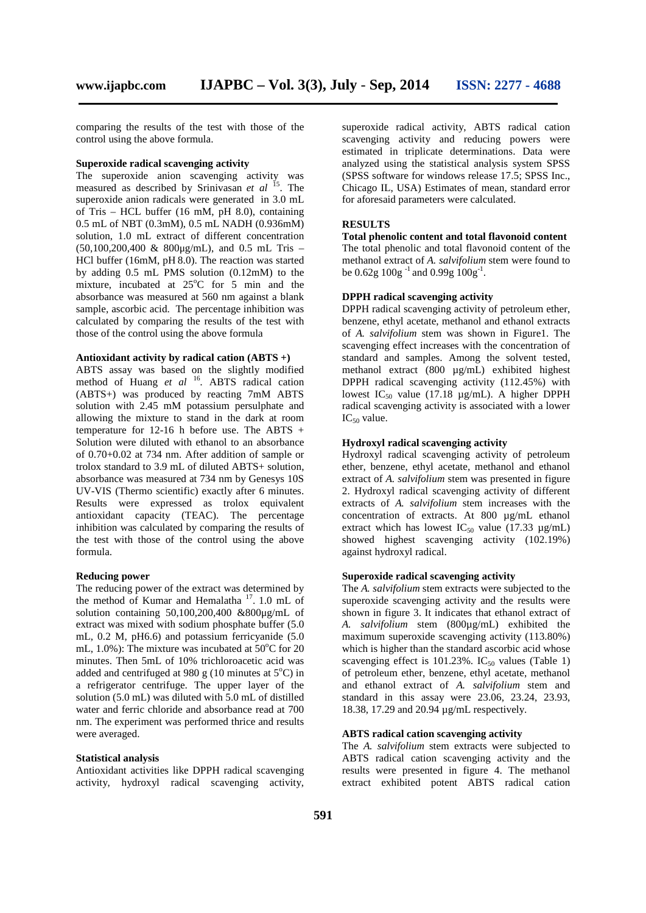comparing the results of the test with those of the control using the above formula.

## **Superoxide radical scavenging activity**

The superoxide anion scavenging activity was measured as described by Srinivasan *et al* <sup>15</sup>. The superoxide anion radicals were generated in 3.0 mL of Tris – HCL buffer (16 mM, pH 8.0), containing 0.5 mL of NBT (0.3mM), 0.5 mL NADH (0.936mM) solution, 1.0 mL extract of different concentration (50,100,200,400 & 800μg/mL), and 0.5 mL Tris – HCl buffer (16mM, pH 8.0). The reaction was started by adding 0.5 mL PMS solution (0.12mM) to the mixture, incubated at  $25^{\circ}$ C for 5 min and the absorbance was measured at 560 nm against a blank sample, ascorbic acid. The percentage inhibition was calculated by comparing the results of the test with those of the control using the above formula

#### **Antioxidant activity by radical cation (ABTS +)**

ABTS assay was based on the slightly modified method of Huang *et al* <sup>16</sup>. ABTS radical cation (ABTS+) was produced by reacting 7mM ABTS solution with 2.45 mM potassium persulphate and allowing the mixture to stand in the dark at room temperature for 12-16 h before use. The ABTS + Solution were diluted with ethanol to an absorbance of 0.70+0.02 at 734 nm. After addition of sample or trolox standard to 3.9 mL of diluted ABTS+ solution, absorbance was measured at 734 nm by Genesys 10S UV-VIS (Thermo scientific) exactly after 6 minutes. Results were expressed as trolox equivalent antioxidant capacity (TEAC). The percentage inhibition was calculated by comparing the results of the test with those of the control using the above formula.

## **Reducing power**

The reducing power of the extract was determined by the method of Kumar and Hemalatha <sup>17</sup> . 1.0 mL of solution containing 50,100,200,400 &800μg/mL of extract was mixed with sodium phosphate buffer (5.0 mL, 0.2 M, pH6.6) and potassium ferricyanide (5.0 mL,  $1.0\%$ ): The mixture was incubated at  $50\degree$ C for 20 minutes. Then 5mL of 10% trichloroacetic acid was added and centrifuged at 980 g (10 minutes at  $5^{\circ}$ C) in a refrigerator centrifuge. The upper layer of the solution (5.0 mL) was diluted with 5.0 mL of distilled water and ferric chloride and absorbance read at 700 nm. The experiment was performed thrice and results were averaged.

## **Statistical analysis**

Antioxidant activities like DPPH radical scavenging activity, hydroxyl radical scavenging activity,

superoxide radical activity, ABTS radical cation scavenging activity and reducing powers were estimated in triplicate determinations. Data were analyzed using the statistical analysis system SPSS (SPSS software for windows release 17.5; SPSS Inc., Chicago IL, USA) Estimates of mean, standard error for aforesaid parameters were calculated.

## **RESULTS**

**Total phenolic content and total flavonoid content** The total phenolic and total flavonoid content of the methanol extract of *A. salvifolium* stem were found to be  $0.62g 100g^{-1}$  and  $0.99g 100g^{-1}$ .

#### **DPPH radical scavenging activity**

DPPH radical scavenging activity of petroleum ether, benzene, ethyl acetate, methanol and ethanol extracts of *A. salvifolium* stem was shown in Figure1. The scavenging effect increases with the concentration of standard and samples. Among the solvent tested, methanol extract (800 µg/mL) exhibited highest DPPH radical scavenging activity (112.45%) with lowest IC<sub>50</sub> value (17.18  $\mu$ g/mL). A higher DPPH radical scavenging activity is associated with a lower  $IC_{50}$  value.

#### **Hydroxyl radical scavenging activity**

Hydroxyl radical scavenging activity of petroleum ether, benzene, ethyl acetate, methanol and ethanol extract of *A. salvifolium* stem was presented in figure 2. Hydroxyl radical scavenging activity of different extracts of *A. salvifolium* stem increases with the concentration of extracts. At 800 µg/mL ethanol extract which has lowest IC<sub>50</sub> value (17.33  $\mu$ g/mL) showed highest scavenging activity (102.19%) against hydroxyl radical.

## **Superoxide radical scavenging activity**

The *A. salvifolium* stem extracts were subjected to the superoxide scavenging activity and the results were shown in figure 3. It indicates that ethanol extract of *A. salvifolium* stem (800µg/mL) exhibited the maximum superoxide scavenging activity (113.80%) which is higher than the standard ascorbic acid whose scavenging effect is 101.23%.  $IC_{50}$  values (Table 1) of petroleum ether, benzene, ethyl acetate, methanol and ethanol extract of *A. salvifolium* stem and standard in this assay were 23.06, 23.24, 23.93, 18.38, 17.29 and 20.94 µg/mL respectively.

#### **ABTS radical cation scavenging activity**

The *A. salvifolium* stem extracts were subjected to ABTS radical cation scavenging activity and the results were presented in figure 4. The methanol extract exhibited potent ABTS radical cation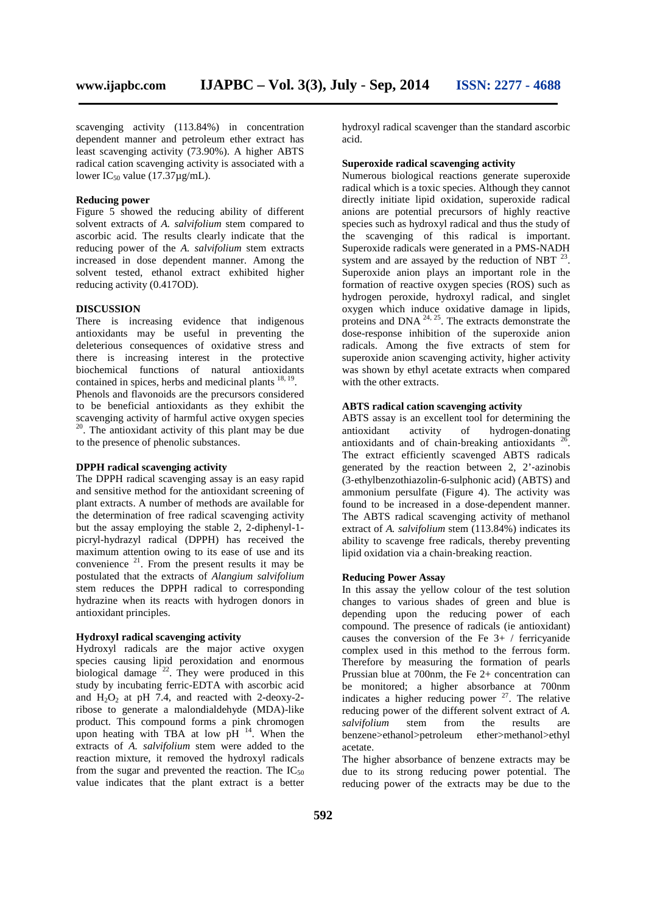scavenging activity (113.84%) in concentration dependent manner and petroleum ether extract has least scavenging activity (73.90%). A higher ABTS radical cation scavenging activity is associated with a lower IC<sub>50</sub> value (17.37 $\mu$ g/mL).

## **Reducing power**

Figure 5 showed the reducing ability of different solvent extracts of *A. salvifolium* stem compared to ascorbic acid. The results clearly indicate that the reducing power of the *A. salvifolium* stem extracts increased in dose dependent manner. Among the solvent tested, ethanol extract exhibited higher reducing activity (0.417OD).

#### **DISCUSSION**

There is increasing evidence that indigenous antioxidants may be useful in preventing the deleterious consequences of oxidative stress and there is increasing interest in the protective biochemical functions of natural antioxidants contained in spices, herbs and medicinal plants  $^{18, 19}$ . Phenols and flavonoids are the precursors considered to be beneficial antioxidants as they exhibit the scavenging activity of harmful active oxygen species <sup>20</sup>. The antioxidant activity of this plant may be due to the presence of phenolic substances.

## **DPPH radical scavenging activity**

The DPPH radical scavenging assay is an easy rapid and sensitive method for the antioxidant screening of plant extracts. A number of methods are available for the determination of free radical scavenging activity but the assay employing the stable 2, 2-diphenyl-1 picryl-hydrazyl radical (DPPH) has received the maximum attention owing to its ease of use and its convenience  $2^1$ . From the present results it may be postulated that the extracts of *Alangium salvifolium* stem reduces the DPPH radical to corresponding hydrazine when its reacts with hydrogen donors in antioxidant principles.

## **Hydroxyl radical scavenging activity**

Hydroxyl radicals are the major active oxygen species causing lipid peroxidation and enormous biological damage  $^{22}$ . They were produced in this study by incubating ferric-EDTA with ascorbic acid and  $H_2O_2$  at pH 7.4, and reacted with 2-deoxy-2ribose to generate a malondialdehyde (MDA)-like product. This compound forms a pink chromogen salvifolium upon heating with TBA at low  $pH^{-14}$ . When the extracts of *A. salvifolium* stem were added to the reaction mixture, it removed the hydroxyl radicals from the sugar and prevented the reaction. The  $IC_{50}$ value indicates that the plant extract is a better

hydroxyl radical scavenger than the standard ascorbic acid.

## **Superoxide radical scavenging activity**

Numerous biological reactions generate superoxide radical which is a toxic species. Although they cannot directly initiate lipid oxidation, superoxide radical anions are potential precursors of highly reactive species such as hydroxyl radical and thus the study of the scavenging of this radical is important. Superoxide radicals were generated in a PMS-NADH system and are assayed by the reduction of NBT  $^{23}$ . Superoxide anion plays an important role in the formation of reactive oxygen species (ROS) such as hydrogen peroxide, hydroxyl radical, and singlet oxygen which induce oxidative damage in lipids, proteins and DNA  $^{24, 25}$ . The extracts demonstrate the dose-response inhibition of the superoxide anion radicals. Among the five extracts of stem for superoxide anion scavenging activity, higher activity was shown by ethyl acetate extracts when compared with the other extracts.

#### **ABTS radical cation scavenging activity**

ABTS assay is an excellent tool for determining the antioxidant activity of hydrogen‐donating antioxidants and of chain-breaking antioxidants  $^{26}$ . The extract efficiently scavenged ABTS radicals generated by the reaction between 2, 2'‐azinobis (3‐ethylbenzothiazolin‐6‐sulphonic acid) (ABTS) and ammonium persulfate (Figure 4). The activity was found to be increased in a dose‐dependent manner. The ABTS radical scavenging activity of methanol extract of *A. salvifolium* stem (113.84%) indicates its ability to scavenge free radicals, thereby preventing lipid oxidation via a chain‐breaking reaction.

## **Reducing Power Assay**

In this assay the yellow colour of the test solution changes to various shades of green and blue is depending upon the reducing power of each compound. The presence of radicals (ie antioxidant) causes the conversion of the Fe  $3+ /$  ferricyanide complex used in this method to the ferrous form. Therefore by measuring the formation of pearls Prussian blue at 700nm, the Fe 2+ concentration can be monitored; a higher absorbance at 700nm indicates a higher reducing power  $2^7$ . The relative reducing power of the different solvent extract of *A. stem from the results are* benzene>ethanol>petroleum ether>methanol>ethyl acetate.

The higher absorbance of benzene extracts may be due to its strong reducing power potential. The reducing power of the extracts may be due to the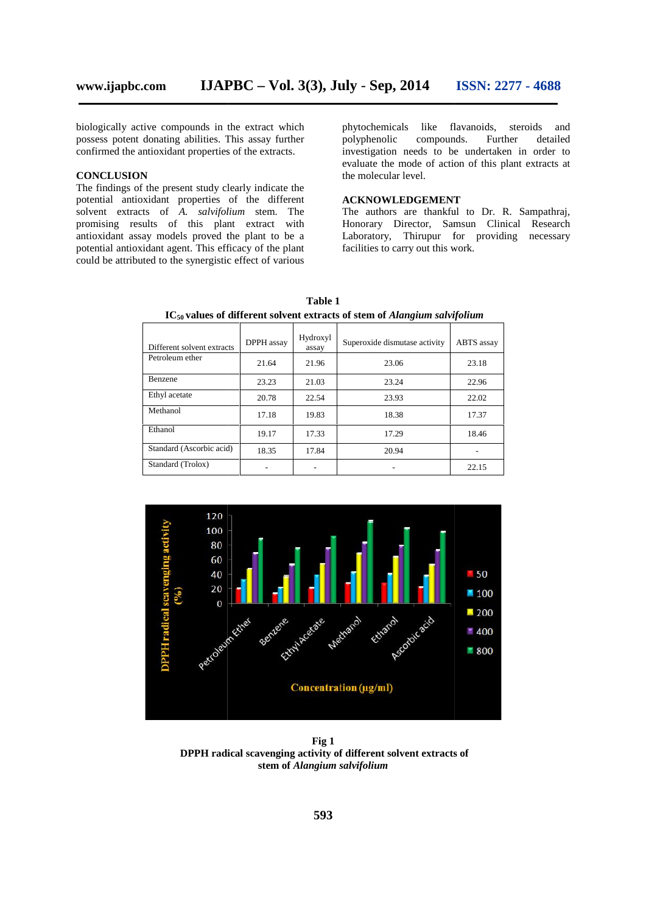biologically active compounds in the extract which phytochemicals possess potent donating abilities. This assay further confirmed the antioxidant properties of the extracts.

#### **CONCLUSION**

The findings of the present study clearly indicate the potential antioxidant properties of the different solvent extracts of *A. salvifolium* stem. The promising results of this plant extract with antioxidant assay models proved the plant to be a potential antioxidant agent. This efficacy of the plant could be attributed to the synergistic effect of various the antioxidant properties of the extracts.<br>
Surface investigation needs to be undertaken in order to<br> **SCLUSION**<br>
SCLUSION<br>
Findings of the present study clearly indicate the<br>
this attributed compounds. Further detailed<br>

like flavanoids, steroids and polyphenolic compounds. Further detailed investigation needs to be undertaken in order to evaluate the mode of action of this plant extracts at the molecular level.

## **ACKNOWLEDGEMENT**

The authors are thankful to Dr. R. Sampathraj, Honorary Director, Samsun Clinical Research Laboratory, Thirupur for providing necessary facilities to carry out this work. The sealing the mode of action of this planet and the molecular level.<br>
The molecular level.<br>
The **ACKNOWLEDGEMENT**<br>
The authors are thankful to Dr. R.<br>
With Honorary Director, Samsun Clinic:<br>
De a Laboratory, Thirupur for

| ັ                          |            |                   | ິ                             | $\cdot$    |
|----------------------------|------------|-------------------|-------------------------------|------------|
| Different solvent extracts | DPPH assay | Hydroxyl<br>assay | Superoxide dismutase activity | ABTS assay |
| Petroleum ether            | 21.64      | 21.96             | 23.06                         | 23.18      |
| Benzene                    | 23.23      | 21.03             | 23.24                         | 22.96      |
| Ethyl acetate              | 20.78      | 22.54             | 23.93                         | 22.02      |
| Methanol                   | 17.18      | 19.83             | 18.38                         | 17.37      |
| Ethanol                    | 19.17      | 17.33             | 17.29                         | 18.46      |
| Standard (Ascorbic acid)   | 18.35      | 17.84             | 20.94                         |            |
| Standard (Trolox)          |            |                   |                               | 22.15      |

**Table 1 1IC<sup>50</sup> values of different solvent extracts of stem of** *Alangium salvifolium* **of** 



**Fig 1 DPPH radical scavenging activity of different solvent extracts of stem of** *Alangium salvifolium*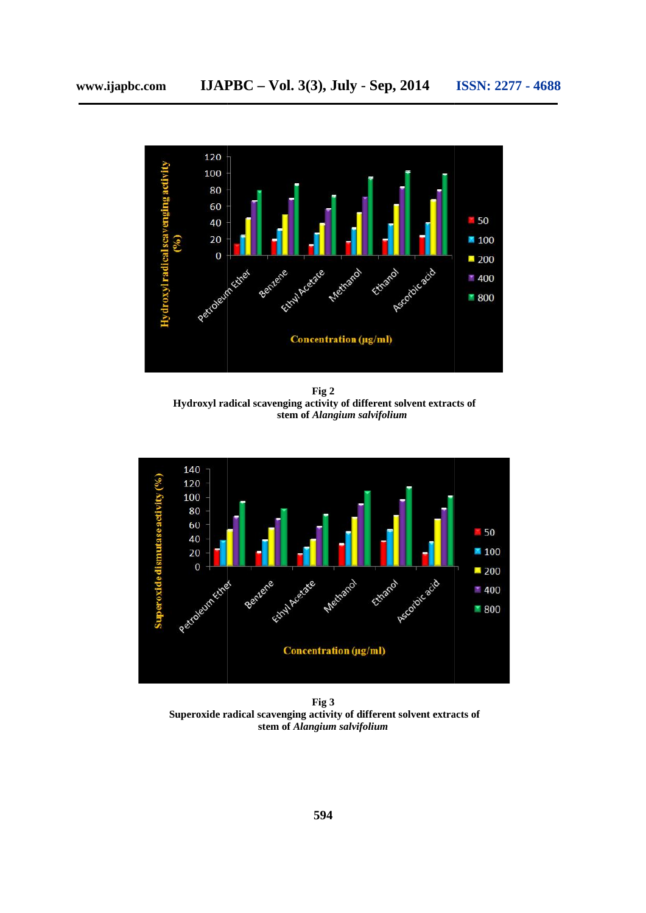

**Fig 2 Hydroxyl radical scavenging activity of different solvent extracts of stem of** *Alangium salvifolium*



**Fig 3 Superoxide radical scavenging activity of different solvent extracts of ofstem of** *Alangium salvifolium Alangium*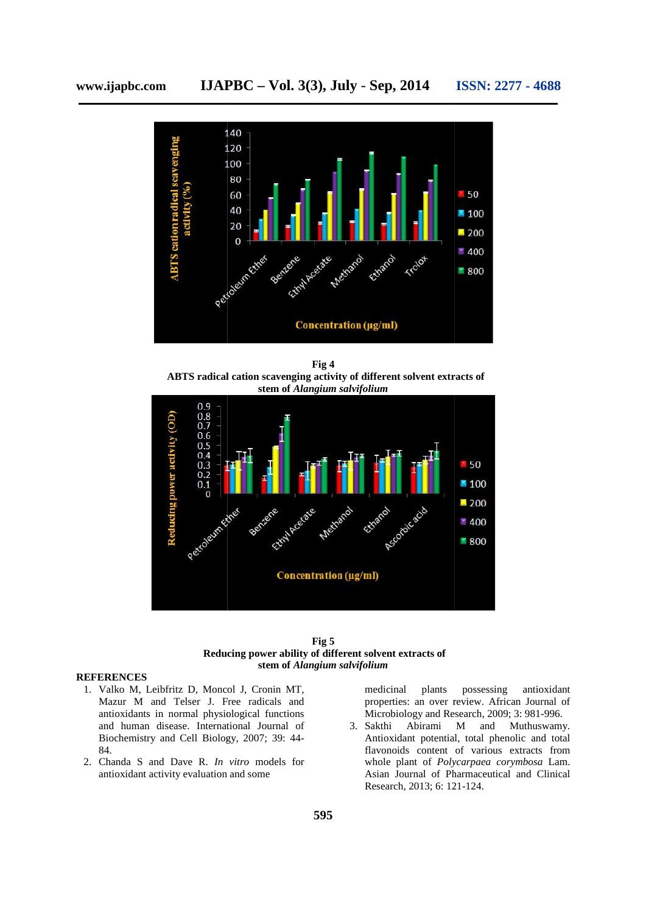

**Fig 4 ABTS radical cation scavenging activity of different solvent extracts of of stem of** *Alangium salvifolium*





## **REFERENCES**

- 1. Valko M, Leibfritz D, Moncol J, Cronin MT, Mazur M and Telser J. Free radicals and antioxidants in normal physiological functions and human disease. International Journal of Biochemistry and Cell Biology, 2007; 39: 44- 84. Valko M, Leibfritz D, Moncol J, Cronin MT,<br>Mazur M and Telser J. Free radicals and<br>antioxidants in normal physiological functions<br>and human disease. International Journal of<br>Biochemistry and Cell Biology, 2007; 39: 44-<br>84.
- 2. Chanda S and Dave R. *In vitro* models for antioxidant activity evaluation and some

medicinal plants possessing antioxidant properties: an over review. African Journal of Microbiology and Research, 2009; 3: 981-996.

3. Sakthi Abirami M and Muthuswamy. Antioxidant potential, total phenolic and total flavonoids content of various extracts from whole plant of *Polycarpaea corymbosa* Lam. Asian Journal of Pharmaceutical and Clinical Research, 2013; 6: 121-124. properties: an over review. African Journal of<br>Microbiology and Research, 2009; 3: 981-996.<br>Sakthi Abirami M and Muthuswamy.<br>Antioxidant potential, total phenolic and total<br>flavonoids content of various extracts from<br>whole